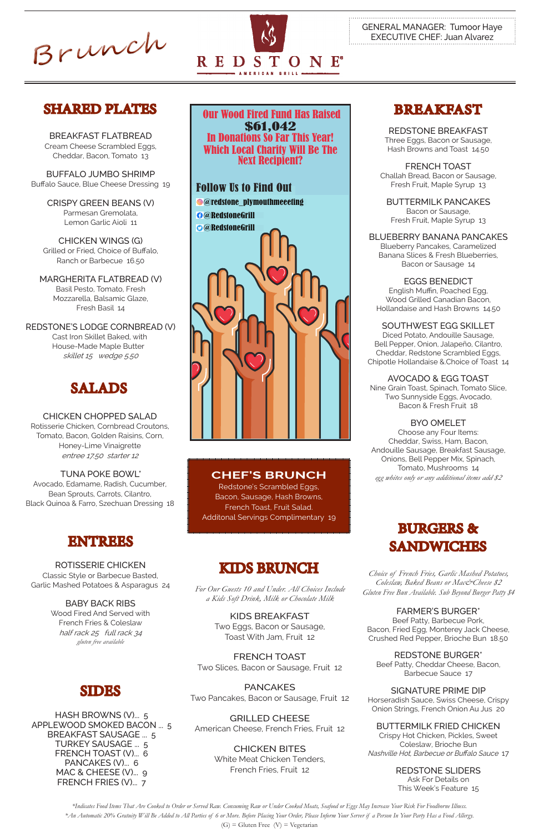Brunch



# SHARED PLATES



BREAKFAST FLATBREAD Cream Cheese Scrambled Eggs, Cheddar, Bacon, Tomato 13

BUFFALO JUMBO SHRIMP Buffalo Sauce, Blue Cheese Dressing 19

> CRISPY GREEN BEANS (V) Parmesan Gremolata, Lemon Garlic Aioli 11

CHICKEN WINGS (G) Grilled or Fried, Choice of Buffalo, Ranch or Barbecue 16.50

MARGHERITA FLATBREAD (V) Basil Pesto, Tomato, Fresh Mozzarella, Balsamic Glaze, Fresh Basil 14

REDSTONE'S LODGE CORNBREAD (V) Cast Iron Skillet Baked, with House-Made Maple Butter skillet 15 wedge 5.50

CHICKEN CHOPPED SALAD Rotisserie Chicken, Cornbread Croutons, Tomato, Bacon, Golden Raisins, Corn, Honey-Lime Vinaigrette entree 17.50 starter 12

### TUNA POKE BOWL\* Avocado, Edamame, Radish, Cucumber, Bean Sprouts, Carrots, Cilantro, Black Quinoa & Farro, Szechuan Dressing 18

# SALADS

*\*Indicates Food Items That Are Cooked to Order or Served Raw. Consuming Raw or Under Cooked Meats, Seafood or Eggs May Increase Your Risk For Foodborne Illness. \*An Automatic 20% Gratuity Will Be Added to All Parties of 6 or More. Before Placing Your Order, Please Inform Your Server if a Person In Your Party Has a Food Allergy.*  $(G)$  = Gluten Free  $(V)$  = Vegetarian

ROTISSERIE CHICKEN Classic Style or Barbecue Basted, Garlic Mashed Potatoes & Asparagus 24

> BABY BACK RIBS Wood Fired And Served with French Fries & Coleslaw half rack 25 full rack 34 *gluten free available*

*Choice of French Fries, Garlic Mashed Potatoes, Coleslaw, Baked Beans or Mac&Cheese \$2 Gluten Free Bun Available. Sub Beyond Burger Patty \$4*

### FARMER'S BURGER\*

Beef Patty, Barbecue Pork, Bacon, Fried Egg, Monterey Jack Cheese, Crushed Red Pepper, Brioche Bun 18.50

### REDSTONE BURGER\*

Beef Patty, Cheddar Cheese, Bacon, Barbecue Sauce 17

### SIGNATURE PRIME DIP

Horseradish Sauce, Swiss Cheese, Crispy Onion Strings, French Onion Au Jus 20

### BUTTERMILK FRIED CHICKEN

Crispy Hot Chicken, Pickles, Sweet Coleslaw, Brioche Bun Nashville Hot, Barbecue or Buffalo Sauce 17

#### REDSTONE SLIDERS

Ask For Details on This Week's Feature 15

KIDS BREAKFAST Two Eggs, Bacon or Sausage,

Toast With Jam, Fruit 12

FRENCH TOAST Two Slices, Bacon or Sausage, Fruit 12

PANCAKES Two Pancakes, Bacon or Sausage, Fruit 12

GRILLED CHEESE

American Cheese, French Fries, Fruit 12

CHICKEN BITES

White Meat Chicken Tenders, French Fries, Fruit 12

# KIDS BRUNCH

# BREAKFAST

REDSTONE BREAKFAST Three Eggs, Bacon or Sausage, Hash Browns and Toast 14.50

FRENCH TOAST Challah Bread, Bacon or Sausage, Fresh Fruit, Maple Syrup 13

BUTTERMILK PANCAKES Bacon or Sausage, Fresh Fruit, Maple Syrup 13

BLUEBERRY BANANA PANCAKES Blueberry Pancakes, Caramelized Banana Slices & Fresh Blueberries, Bacon or Sausage 14

EGGS BENEDICT English Muffin, Poached Egg, Wood Grilled Canadian Bacon, Hollandaise and Hash Browns 14.50

SOUTHWEST EGG SKILLET Diced Potato, Andouille Sausage, Bell Pepper, Onion, Jalapeño, Cilantro, Cheddar, Redstone Scrambled Eggs, Chipotle Hollandaise &.Choice of Toast 14

## AVOCADO & EGG TOAST

Nine Grain Toast, Spinach, Tomato Slice, Two Sunnyside Eggs, Avocado, Bacon & Fresh Fruit 18

BYO OMELET

Choose any Four Items: Cheddar, Swiss, Ham, Bacon, Andouille Sausage, Breakfast Sausage, Onions, Bell Pepper Mix, Spinach, Tomato, Mushrooms 14 *egg whites only or any additional items add \$2*

*For Our Guests 10 and Under. All Choices Include a Kids Soft Drink, Milk or Chocolate Milk*

# ENTREES

SIDES

HASH BROWNS (V)... 5 APPLEWOOD SMOKED BACON ... 5 BREAKFAST SAUSAGE ... 5 TURKEY SAUSAGE ... 5 FRENCH TOAST (V)... 6 PANCAKES (V)... 6 MAC & CHEESE (V)... 9 FRENCH FRIES (V)... 7

# **CHEF'S BRUNCH**

Redstone's Scrambled Eggs, Bacon, Sausage, Hash Browns, French Toast, Fruit Salad. Additonal Servings Complimentary 19

 Our Wood Fired Fund Has Raised \$61,042 In Donations So Far This Year! Which Local Charity Will Be The Next Recipient?

Follow Us to Find Out @redstone\_plymouthmeeeting @RedstoneGrill @RedstoneGrill